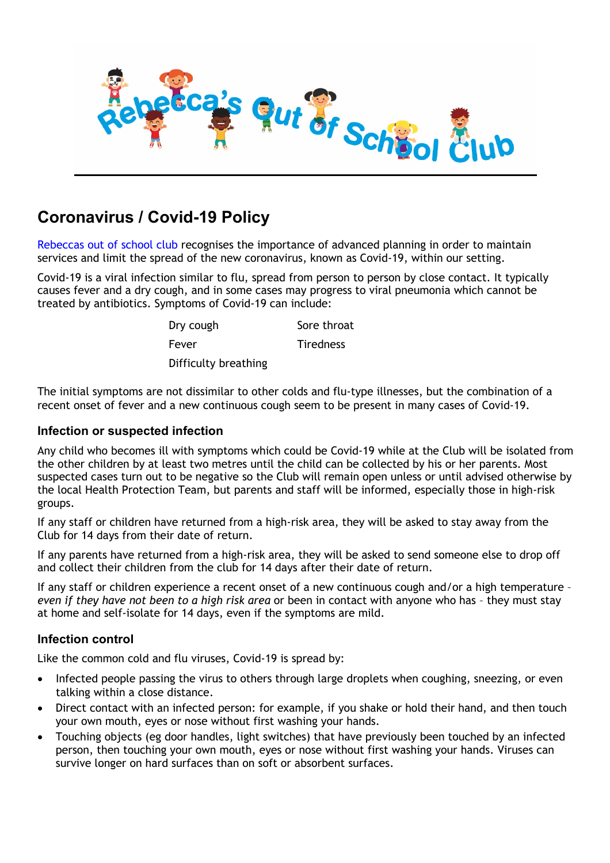

# **Coronavirus / Covid-19 Policy**

Rebeccas out of school club recognises the importance of advanced planning in order to maintain services and limit the spread of the new coronavirus, known as Covid-19, within our setting.

Covid-19 is a viral infection similar to flu, spread from person to person by close contact. It typically causes fever and a dry cough, and in some cases may progress to viral pneumonia which cannot be treated by antibiotics. Symptoms of Covid-19 can include:

| Dry cough            | Sore throat      |
|----------------------|------------------|
| Fever                | <b>Tiredness</b> |
| Difficulty breathing |                  |

The initial symptoms are not dissimilar to other colds and flu-type illnesses, but the combination of a recent onset of fever and a new continuous cough seem to be present in many cases of Covid-19.

### **Infection or suspected infection**

Any child who becomes ill with symptoms which could be Covid-19 while at the Club will be isolated from the other children by at least two metres until the child can be collected by his or her parents. Most suspected cases turn out to be negative so the Club will remain open unless or until advised otherwise by the local Health Protection Team, but parents and staff will be informed, especially those in high-risk groups.

If any staff or children have returned from a high-risk area, they will be asked to stay away from the Club for 14 days from their date of return.

If any parents have returned from a high-risk area, they will be asked to send someone else to drop off and collect their children from the club for 14 days after their date of return.

If any staff or children experience a recent onset of a new continuous cough and/or a high temperature – *even if they have not been to a high risk area* or been in contact with anyone who has – they must stay at home and self-isolate for 14 days, even if the symptoms are mild.

## **Infection control**

Like the common cold and flu viruses, Covid-19 is spread by:

- Infected people passing the virus to others through large droplets when coughing, sneezing, or even talking within a close distance.
- Direct contact with an infected person: for example, if you shake or hold their hand, and then touch your own mouth, eyes or nose without first washing your hands.
- Touching objects (eg door handles, light switches) that have previously been touched by an infected person, then touching your own mouth, eyes or nose without first washing your hands. Viruses can survive longer on hard surfaces than on soft or absorbent surfaces.